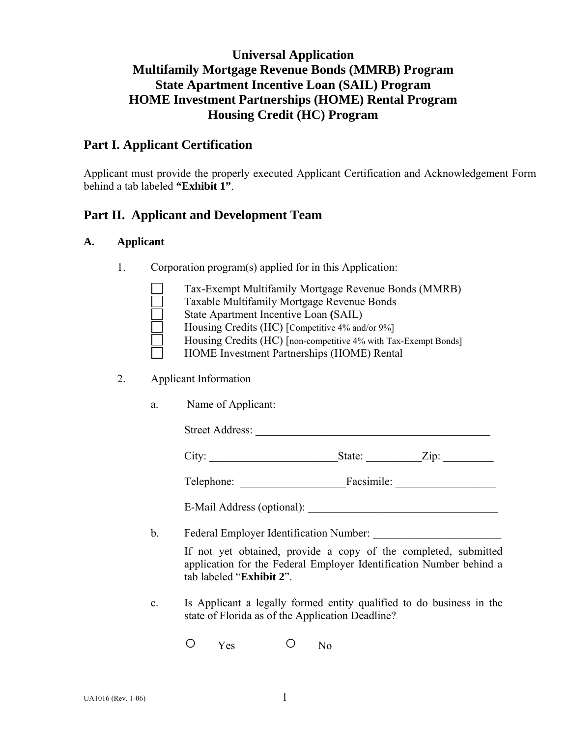# **Universal Application Multifamily Mortgage Revenue Bonds (MMRB) Program State Apartment Incentive Loan (SAIL) Program HOME Investment Partnerships (HOME) Rental Program Housing Credit (HC) Program**

# **Part I. Applicant Certification**

Applicant must provide the properly executed Applicant Certification and Acknowledgement Form behind a tab labeled **"Exhibit 1"**.

## **Part II. Applicant and Development Team**

#### **A. Applicant**

1. Corporation program(s) applied for in this Application:

| Tax-Exempt Multifamily Mortgage Revenue Bonds (MMRB)            |
|-----------------------------------------------------------------|
| Taxable Multifamily Mortgage Revenue Bonds                      |
| State Apartment Incentive Loan (SAIL)                           |
| Housing Credits (HC) [Competitive 4% and/or 9%]                 |
| Housing Credits (HC) [non-competitive 4% with Tax-Exempt Bonds] |
| HOME Investment Partnerships (HOME) Rental                      |

2. Applicant Information

|  | Name of Applicant: |
|--|--------------------|
|--|--------------------|

**Street Address:** 

|--|--|--|

| $\sim$<br>l'elephone: | $\cdot$ $\cdot$<br>Facsimile: |  |
|-----------------------|-------------------------------|--|
|                       |                               |  |

E-Mail Address (optional): \_\_\_\_\_\_\_\_\_\_\_\_\_\_\_\_\_\_\_\_\_\_\_\_\_\_\_\_\_\_\_\_\_\_

b. Federal Employer Identification Number:

 If not yet obtained, provide a copy of the completed, submitted application for the Federal Employer Identification Number behind a tab labeled "**Exhibit 2**".

- c. Is Applicant a legally formed entity qualified to do business in the state of Florida as of the Application Deadline?
	- O Yes O No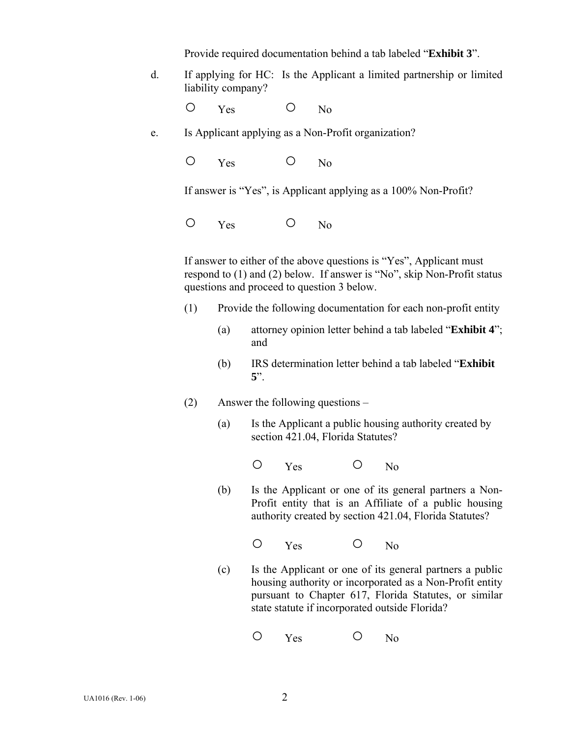Provide required documentation behind a tab labeled "**Exhibit 3**".

 d. If applying for HC: Is the Applicant a limited partnership or limited liability company?

O Yes O No

- e. Is Applicant applying as a Non-Profit organization?
	- O Yes O No

If answer is "Yes", is Applicant applying as a 100% Non-Profit?

O Yes O No

If answer to either of the above questions is "Yes", Applicant must respond to (1) and (2) below. If answer is "No", skip Non-Profit status questions and proceed to question 3 below.

- (1) Provide the following documentation for each non-profit entity
	- (a) attorney opinion letter behind a tab labeled "**Exhibit 4**"; and
	- (b) IRS determination letter behind a tab labeled "**Exhibit 5**".
- (2) Answer the following questions
	- (a) Is the Applicant a public housing authority created by section 421.04, Florida Statutes?

O Yes O No

 (b) Is the Applicant or one of its general partners a Non-Profit entity that is an Affiliate of a public housing authority created by section 421.04, Florida Statutes?

O Yes O No

(c)Is the Applicant or one of its general partners a public housing authority or incorporated as a Non-Profit entity pursuant to Chapter 617, Florida Statutes, or similar state statute if incorporated outside Florida?

O Yes O No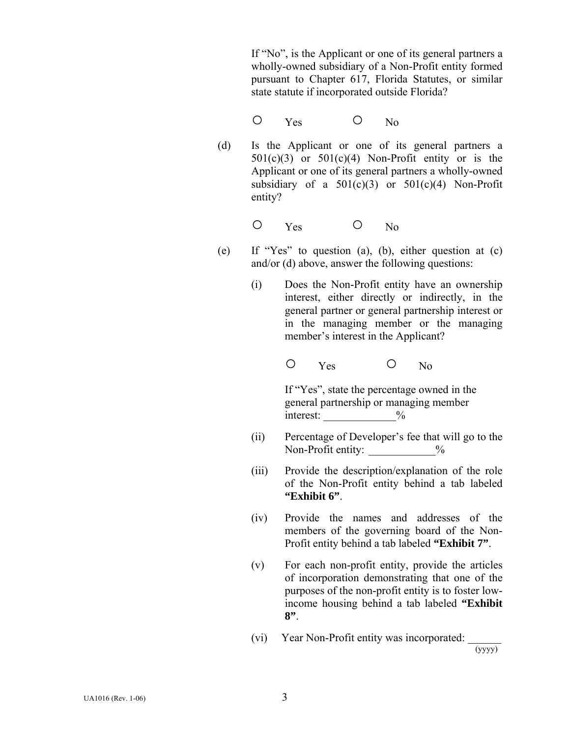If "No", is the Applicant or one of its general partners a wholly-owned subsidiary of a Non-Profit entity formed pursuant to Chapter 617, Florida Statutes, or similar state statute if incorporated outside Florida?

- O Yes O No
	- (d) Is the Applicant or one of its general partners a  $501(c)(3)$  or  $501(c)(4)$  Non-Profit entity or is the Applicant or one of its general partners a wholly-owned subsidiary of a  $501(c)(3)$  or  $501(c)(4)$  Non-Profit entity?

O Yes O No

- (e) If "Yes" to question (a), (b), either question at (c) and/or (d) above, answer the following questions:
	- (i) Does the Non-Profit entity have an ownership interest, either directly or indirectly, in the general partner or general partnership interest or in the managing member or the managing member's interest in the Applicant?

O Yes O No

 If "Yes", state the percentage owned in the general partnership or managing member interest:  $\frac{9}{6}$ 

- (ii) Percentage of Developer's fee that will go to the Non-Profit entity:  $\frac{9}{6}$
- (iii) Provide the description/explanation of the role of the Non-Profit entity behind a tab labeled **"Exhibit 6"**.
- (iv) Provide the names and addresses of the members of the governing board of the Non-Profit entity behind a tab labeled **"Exhibit 7"**.
- (v) For each non-profit entity, provide the articles of incorporation demonstrating that one of the purposes of the non-profit entity is to foster lowincome housing behind a tab labeled **"Exhibit 8"**.
- (vi) Year Non-Profit entity was incorporated:  $\frac{1}{(y y y y)}$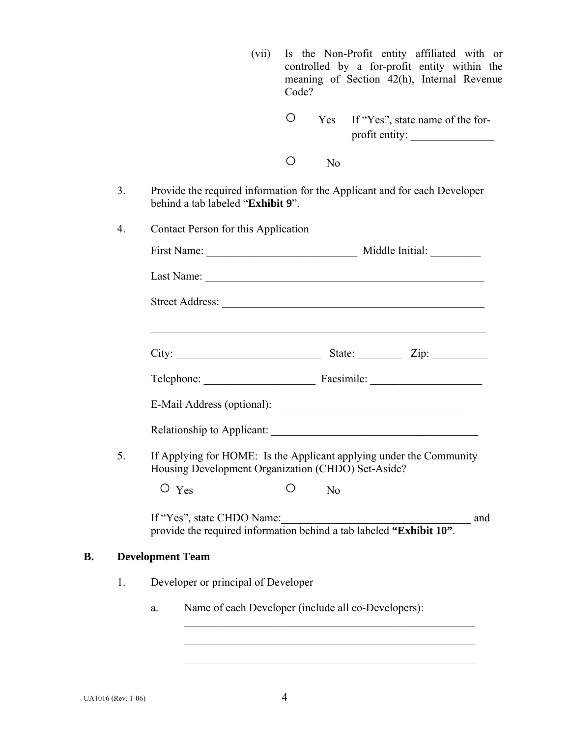|    |    | (vii)                                                                                                                              | Code? |                | Is the Non-Profit entity affiliated with or<br>controlled by a for-profit entity within the<br>meaning of Section 42(h), Internal Revenue |     |
|----|----|------------------------------------------------------------------------------------------------------------------------------------|-------|----------------|-------------------------------------------------------------------------------------------------------------------------------------------|-----|
|    |    |                                                                                                                                    | O     | Yes            | If "Yes", state name of the for-<br>profit entity:                                                                                        |     |
|    |    |                                                                                                                                    | O     | N <sub>o</sub> |                                                                                                                                           |     |
|    | 3. | Provide the required information for the Applicant and for each Developer<br>behind a tab labeled "Exhibit 9".                     |       |                |                                                                                                                                           |     |
|    | 4. | Contact Person for this Application                                                                                                |       |                |                                                                                                                                           |     |
|    |    |                                                                                                                                    |       |                |                                                                                                                                           |     |
|    |    |                                                                                                                                    |       |                |                                                                                                                                           |     |
|    |    |                                                                                                                                    |       |                |                                                                                                                                           |     |
|    |    |                                                                                                                                    |       |                | <u> 1989 - Johann Harry Harry Harry Harry Harry Harry Harry Harry Harry Harry Harry Harry Harry Harry Harry Harry</u>                     |     |
|    |    |                                                                                                                                    |       |                |                                                                                                                                           |     |
|    |    | Telephone: Facsimile: Facsimile:                                                                                                   |       |                |                                                                                                                                           |     |
|    |    |                                                                                                                                    |       |                |                                                                                                                                           |     |
|    |    |                                                                                                                                    |       |                |                                                                                                                                           |     |
|    | 5. | If Applying for HOME: Is the Applicant applying under the Community<br>Housing Development Organization (CHDO) Set-Aside?          |       |                |                                                                                                                                           |     |
|    |    | $\circ$ Yes                                                                                                                        | Ο     | N <sub>o</sub> |                                                                                                                                           |     |
|    |    | If "Yes", state CHDO Name:<br>If "Yes", state CHDO Name:<br>provide the required information behind a tab labeled "Exhibit $10$ ". |       |                |                                                                                                                                           | and |
| В. |    | <b>Development Team</b>                                                                                                            |       |                |                                                                                                                                           |     |
|    | 1. | Developer or principal of Developer                                                                                                |       |                |                                                                                                                                           |     |
|    |    | Name of each Developer (include all co-Developers):<br>a.                                                                          |       |                |                                                                                                                                           |     |
|    |    |                                                                                                                                    |       |                |                                                                                                                                           |     |
|    |    |                                                                                                                                    |       |                |                                                                                                                                           |     |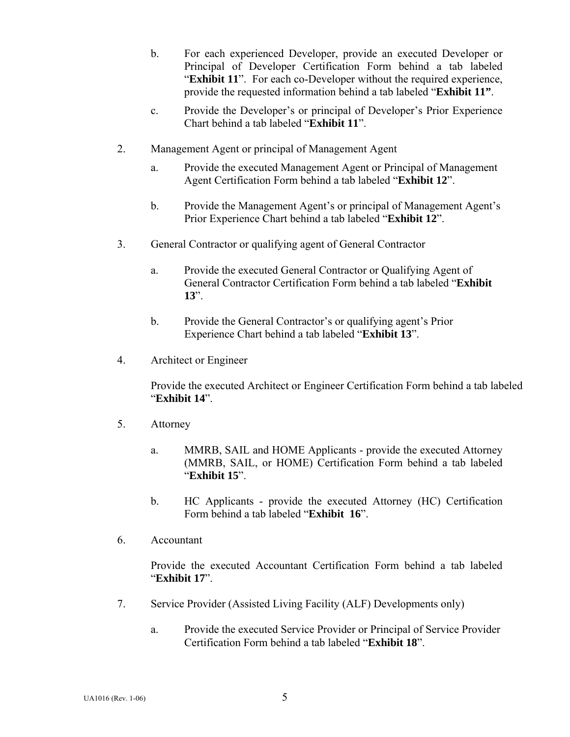- b. For each experienced Developer, provide an executed Developer or Principal of Developer Certification Form behind a tab labeled "**Exhibit 11**". For each co-Developer without the required experience, provide the requested information behind a tab labeled "**Exhibit 11"**.
- c. Provide the Developer's or principal of Developer's Prior Experience Chart behind a tab labeled "**Exhibit 11**".
- 2. Management Agent or principal of Management Agent
	- a. Provide the executed Management Agent or Principal of Management Agent Certification Form behind a tab labeled "**Exhibit 12**".
	- b. Provide the Management Agent's or principal of Management Agent's Prior Experience Chart behind a tab labeled "**Exhibit 12**".
- 3. General Contractor or qualifying agent of General Contractor
	- a. Provide the executed General Contractor or Qualifying Agent of General Contractor Certification Form behind a tab labeled "**Exhibit 13**".
	- b. Provide the General Contractor's or qualifying agent's Prior Experience Chart behind a tab labeled "**Exhibit 13**".
- 4. Architect or Engineer

 Provide the executed Architect or Engineer Certification Form behind a tab labeled "**Exhibit 14**".

- 5. Attorney
	- a. MMRB, SAIL and HOME Applicants provide the executed Attorney (MMRB, SAIL, or HOME) Certification Form behind a tab labeled "**Exhibit 15**".
	- b. HC Applicants provide the executed Attorney (HC) Certification Form behind a tab labeled "**Exhibit 16**".
- 6. Accountant

Provide the executed Accountant Certification Form behind a tab labeled "**Exhibit 17**".

- 7. Service Provider (Assisted Living Facility (ALF) Developments only)
	- a. Provide the executed Service Provider or Principal of Service Provider Certification Form behind a tab labeled "**Exhibit 18**".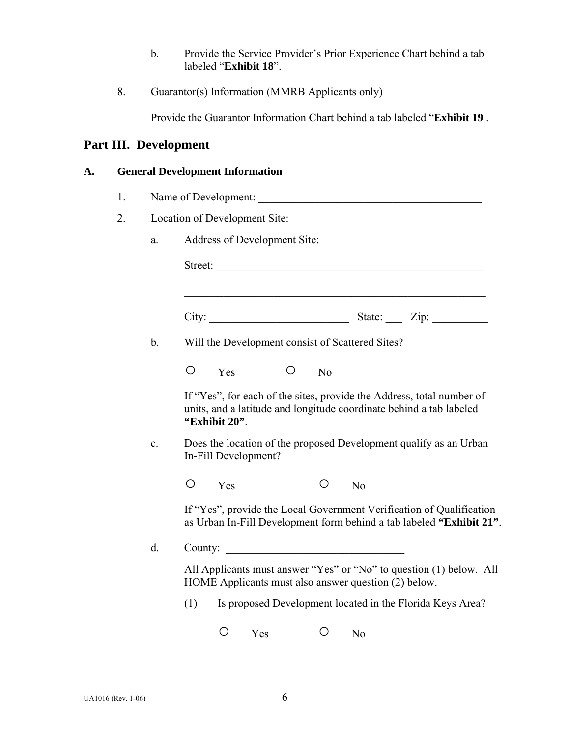- b. Provide the Service Provider's Prior Experience Chart behind a tab labeled "**Exhibit 18**".
- 8. Guarantor(s) Information (MMRB Applicants only)

Provide the Guarantor Information Chart behind a tab labeled "**Exhibit 19** .

# **Part III. Development**

## **A. General Development Information**

- 1. Name of Development:
- 2. Location of Development Site:
	- a. Address of Development Site:

| b. |         |                      |  |                | Will the Development consist of Scattered Sites?     |                                                                                                                                              |
|----|---------|----------------------|--|----------------|------------------------------------------------------|----------------------------------------------------------------------------------------------------------------------------------------------|
|    | О       | Yes                  |  | N <sub>o</sub> |                                                      |                                                                                                                                              |
|    |         | "Exhibit 20".        |  |                |                                                      | If "Yes", for each of the sites, provide the Address, total number of<br>units, and a latitude and longitude coordinate behind a tab labeled |
| c. |         | In-Fill Development? |  |                |                                                      | Does the location of the proposed Development qualify as an Urban                                                                            |
|    | O       | Yes                  |  | O              | N <sub>o</sub>                                       |                                                                                                                                              |
|    |         |                      |  |                |                                                      | If "Yes", provide the Local Government Verification of Qualification<br>as Urban In-Fill Development form behind a tab labeled "Exhibit 21". |
| d. | County: |                      |  |                | <u> 1980 - Jan Stein, Amerikaansk politiker (</u>    |                                                                                                                                              |
|    |         |                      |  |                | HOME Applicants must also answer question (2) below. | All Applicants must answer "Yes" or "No" to question (1) below. All                                                                          |
|    | (1)     |                      |  |                |                                                      | Is proposed Development located in the Florida Keys Area?                                                                                    |
|    |         |                      |  |                |                                                      |                                                                                                                                              |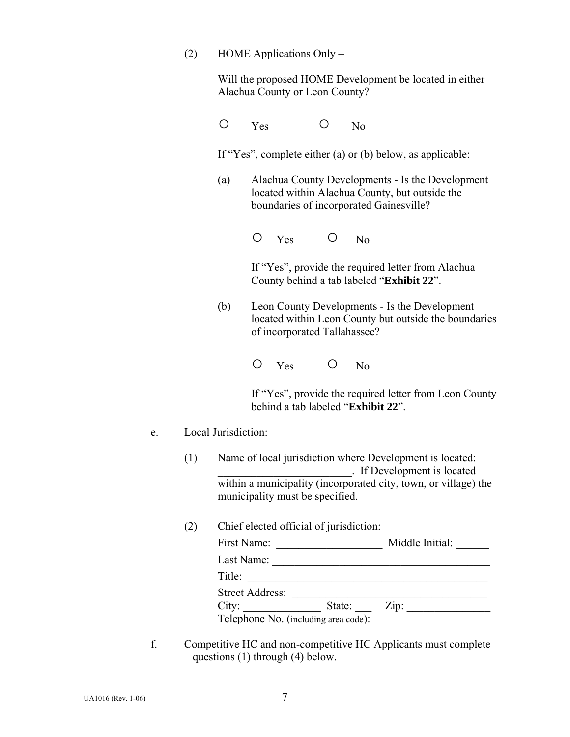(2) HOME Applications Only –

 Will the proposed HOME Development be located in either Alachua County or Leon County?

 $O$  Yes  $O$  No

If "Yes", complete either (a) or (b) below, as applicable:

 (a) Alachua County Developments - Is the Development located within Alachua County, but outside the boundaries of incorporated Gainesville?

O Yes O No

 If "Yes", provide the required letter from Alachua County behind a tab labeled "**Exhibit 22**".

 (b) Leon County Developments - Is the Development located within Leon County but outside the boundaries of incorporated Tallahassee?

 If "Yes", provide the required letter from Leon County behind a tab labeled "**Exhibit 22**".

### e. Local Jurisdiction:

- (1) Name of local jurisdiction where Development is located: \_\_\_\_\_\_\_\_\_\_\_\_\_\_\_\_\_\_\_\_\_\_\_\_. If Development is located within a municipality (incorporated city, town, or village) the municipality must be specified.
- (2) Chief elected official of jurisdiction:

| First Name:                          |        | Middle Initial: |
|--------------------------------------|--------|-----------------|
| Last Name:                           |        |                 |
| Title:                               |        |                 |
| <b>Street Address:</b>               |        |                 |
| City:                                | State: | Zip:            |
| Telephone No. (including area code): |        |                 |

 f. Competitive HC and non-competitive HC Applicants must complete questions (1) through (4) below.

 $O$  Yes  $O$  No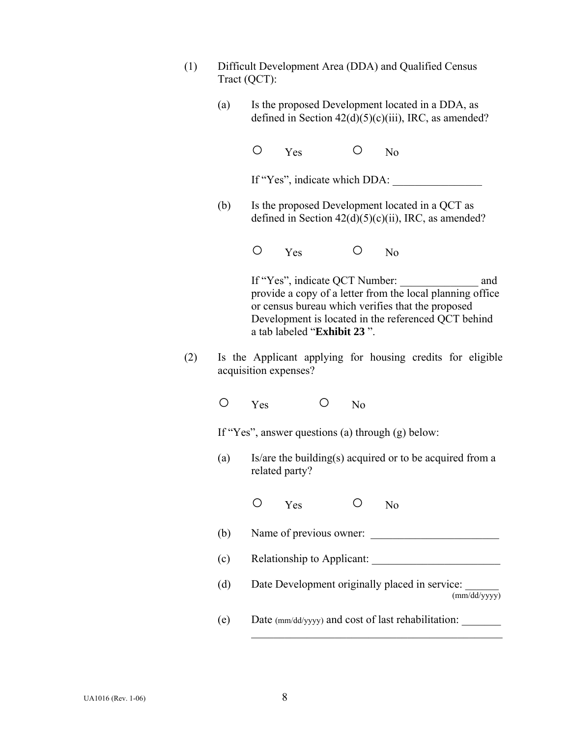- (1) Difficult Development Area (DDA) and Qualified Census Tract (QCT):
	- (a) Is the proposed Development located in a DDA, as defined in Section  $42(d)(5)(c)(iii)$ , IRC, as amended?

O Yes O No

If "Yes", indicate which DDA: \_\_\_\_\_\_\_\_\_\_\_\_\_\_\_\_

(b) Is the proposed Development located in a QCT as defined in Section  $42(d)(5)(c)(ii)$ , IRC, as amended?

O Yes O No

If "Yes", indicate QCT Number: and provide a copy of a letter from the local planning office or census bureau which verifies that the proposed Development is located in the referenced QCT behind a tab labeled "**Exhibit 23** ".

- (2) Is the Applicant applying for housing credits for eligible acquisition expenses?
	- O Yes O No

If "Yes", answer questions (a) through (g) below:

(a) Is/are the building(s) acquired or to be acquired from a related party?

- $(b)$  Name of previous owner:
- (c) Relationship to Applicant: \_\_\_\_\_\_\_\_\_\_\_\_\_\_\_\_\_\_\_\_\_\_\_
- (d) Date Development originally placed in service: (mm/dd/yyyy)
- (e) Date (mm/dd/yyyy) and cost of last rehabilitation: \_\_\_\_\_\_\_

 $\mathcal{L}_\text{max}$  and the contract of the contract of the contract of the contract of the contract of the contract of the contract of the contract of the contract of the contract of the contract of the contract of the contrac

O Yes O No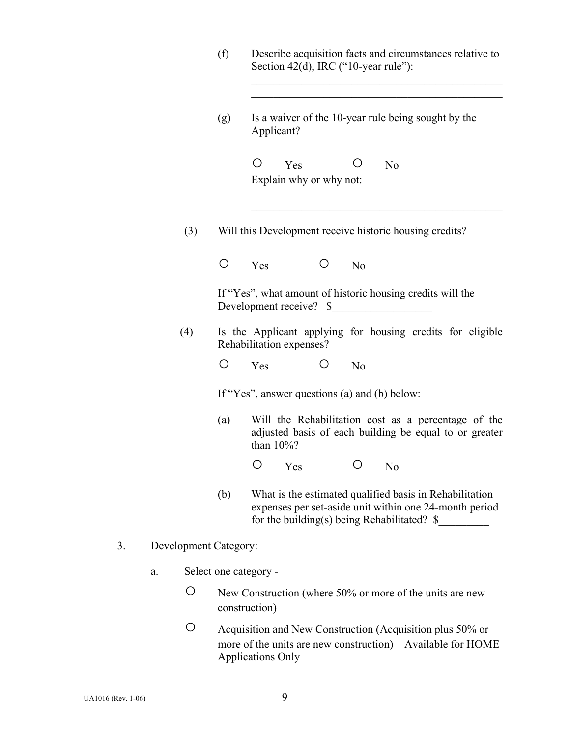|                             | (f)                   | Describe acquisition facts and circumstances relative to<br>Section 42(d), IRC ("10-year rule"):                                                                            |
|-----------------------------|-----------------------|-----------------------------------------------------------------------------------------------------------------------------------------------------------------------------|
|                             | (g)                   | Is a waiver of the 10-year rule being sought by the<br>Applicant?                                                                                                           |
|                             |                       | O<br>Ő<br>Yes<br>N <sub>0</sub><br>Explain why or why not:                                                                                                                  |
| (3)                         |                       | Will this Development receive historic housing credits?                                                                                                                     |
|                             | O                     | O<br>Yes<br>N <sub>o</sub>                                                                                                                                                  |
|                             |                       | If "Yes", what amount of historic housing credits will the<br>Development receive? \$                                                                                       |
| (4)                         |                       | Is the Applicant applying for housing credits for eligible<br>Rehabilitation expenses?                                                                                      |
|                             | O                     | $\circ$<br>Yes<br>N <sub>o</sub>                                                                                                                                            |
|                             |                       | If "Yes", answer questions (a) and (b) below:                                                                                                                               |
|                             | (a)                   | Will the Rehabilitation cost as a percentage of the<br>adjusted basis of each building be equal to or greater<br>than $10\%$ ?                                              |
|                             |                       | $O$ $Yes$<br>$O$ No                                                                                                                                                         |
|                             | (b)                   | What is the estimated qualified basis in Rehabilitation<br>expenses per set-aside unit within one 24-month period<br>for the building(s) being Rehabilitated? $\frac{1}{2}$ |
| 3.<br>Development Category: |                       |                                                                                                                                                                             |
| a.                          | Select one category - |                                                                                                                                                                             |
| O                           |                       | New Construction (where 50% or more of the units are new<br>construction)                                                                                                   |

 ○ Acquisition and New Construction (Acquisition plus 50% or more of the units are new construction) – Available for HOME Applications Only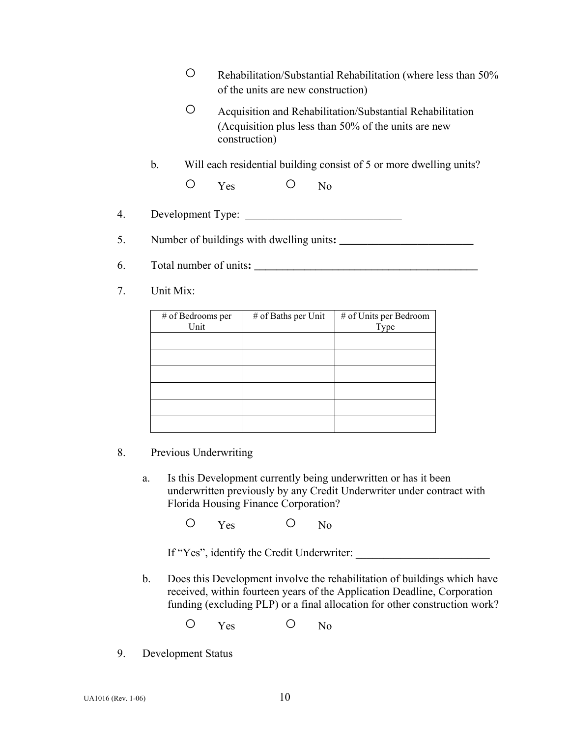|    | Rehabilitation/Substantial Rehabilitation (where less than 50%<br>of the units are new construction)                                                  |
|----|-------------------------------------------------------------------------------------------------------------------------------------------------------|
|    | $\left(\right)$<br>Acquisition and Rehabilitation/Substantial Rehabilitation<br>(Acquisition plus less than 50% of the units are new<br>construction) |
|    | $\mathbf{b}$ .<br>Will each residential building consist of 5 or more dwelling units?                                                                 |
|    | $\bigcirc$<br>Yes<br>N <sub>0</sub>                                                                                                                   |
| 4. | Development Type:                                                                                                                                     |
| 5. |                                                                                                                                                       |
| 6. | Total number of units:                                                                                                                                |
|    |                                                                                                                                                       |

7. Unit Mix:

| # of Bedrooms per<br>Unit | # of Baths per Unit | # of Units per Bedroom<br>Type |
|---------------------------|---------------------|--------------------------------|
|                           |                     |                                |
|                           |                     |                                |
|                           |                     |                                |
|                           |                     |                                |
|                           |                     |                                |
|                           |                     |                                |

- 8. Previous Underwriting
	- a. Is this Development currently being underwritten or has it been underwritten previously by any Credit Underwriter under contract with Florida Housing Finance Corporation?

O Yes O No

If "Yes", identify the Credit Underwriter:

- b. Does this Development involve the rehabilitation of buildings which have received, within fourteen years of the Application Deadline, Corporation funding (excluding PLP) or a final allocation for other construction work?
	- O Yes O No
- 9. Development Status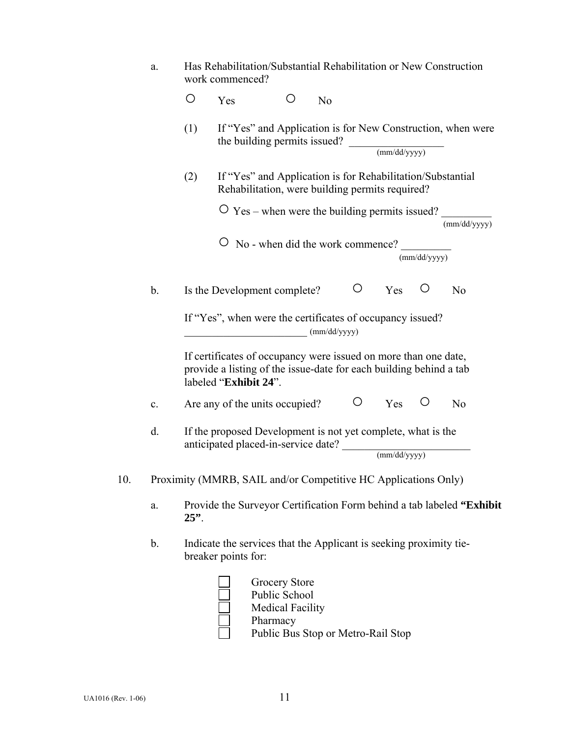|     | a. |         | Has Rehabilitation/Substantial Rehabilitation or New Construction<br>work commenced?                                                                           |                                                                                                               |                |   |                                            |              |                                                                       |
|-----|----|---------|----------------------------------------------------------------------------------------------------------------------------------------------------------------|---------------------------------------------------------------------------------------------------------------|----------------|---|--------------------------------------------|--------------|-----------------------------------------------------------------------|
|     |    | O       | Yes                                                                                                                                                            | ( )                                                                                                           | N <sub>o</sub> |   |                                            |              |                                                                       |
|     |    | (1)     |                                                                                                                                                                | the building permits issued?                                                                                  |                |   | $\frac{1}{\text{mm}/\text{dd}/\text{yyy}}$ |              | If "Yes" and Application is for New Construction, when were           |
|     |    | (2)     |                                                                                                                                                                | If "Yes" and Application is for Rehabilitation/Substantial<br>Rehabilitation, were building permits required? |                |   |                                            |              |                                                                       |
|     |    |         |                                                                                                                                                                | $\overline{O}$ Yes – when were the building permits issued?                                                   |                |   |                                            |              | (mm/dd/yyyy)                                                          |
|     |    |         |                                                                                                                                                                | No - when did the work commence?                                                                              |                |   |                                            | (mm/dd/yyyy) |                                                                       |
|     | b. |         | Is the Development complete?                                                                                                                                   |                                                                                                               |                | O | Yes                                        |              | N <sub>0</sub>                                                        |
|     |    |         | If "Yes", when were the certificates of occupancy issued?                                                                                                      |                                                                                                               | (mm/dd/yyyy)   |   |                                            |              |                                                                       |
|     |    |         | If certificates of occupancy were issued on more than one date,<br>provide a listing of the issue-date for each building behind a tab<br>labeled "Exhibit 24". |                                                                                                               |                |   |                                            |              |                                                                       |
|     | c. |         | Are any of the units occupied?                                                                                                                                 |                                                                                                               |                | O | Yes                                        | Ő            | N <sub>0</sub>                                                        |
|     | d. |         | If the proposed Development is not yet complete, what is the<br>anticipated placed-in-service date?                                                            |                                                                                                               |                |   | (mm/dd/yyyy)                               |              |                                                                       |
| 10. |    |         | Proximity (MMRB, SAIL and/or Competitive HC Applications Only)                                                                                                 |                                                                                                               |                |   |                                            |              |                                                                       |
|     | a. | $25$ ". |                                                                                                                                                                |                                                                                                               |                |   |                                            |              | Provide the Surveyor Certification Form behind a tab labeled "Exhibit |
|     | b. |         | Indicate the services that the Applicant is seeking proximity tie-<br>breaker points for:                                                                      |                                                                                                               |                |   |                                            |              |                                                                       |
|     |    |         |                                                                                                                                                                | Grocery Store<br>Public School<br><b>Medical Facility</b><br>Pharmacy                                         |                |   |                                            |              |                                                                       |

Public Bus Stop or Metro-Rail Stop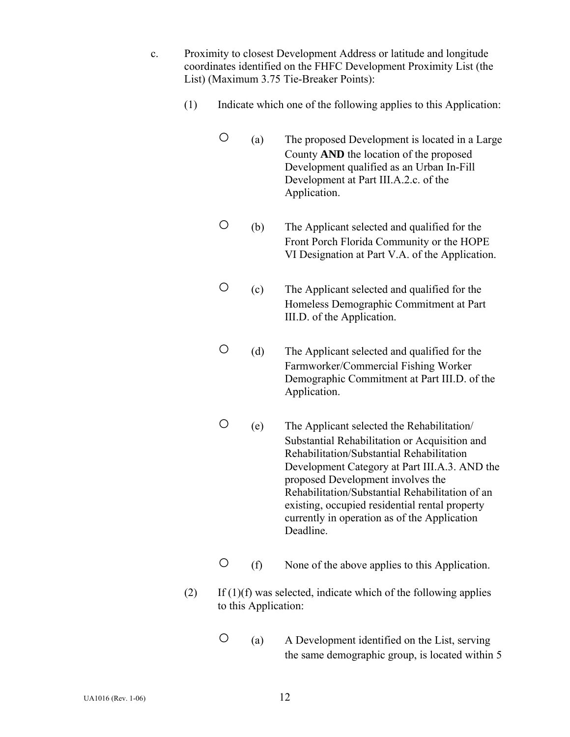- c. Proximity to closest Development Address or latitude and longitude coordinates identified on the FHFC Development Proximity List (the List) (Maximum 3.75 Tie-Breaker Points):
	- (1) Indicate which one of the following applies to this Application:
		- (a) The proposed Development is located in a Large County **AND** the location of the proposed Development qualified as an Urban In-Fill Development at Part III.A.2.c. of the Application.
		- (b) The Applicant selected and qualified for the Front Porch Florida Community or the HOPE VI Designation at Part V.A. of the Application.
		- (c) The Applicant selected and qualified for the Homeless Demographic Commitment at Part III.D. of the Application.
		- (d) The Applicant selected and qualified for the Farmworker/Commercial Fishing Worker Demographic Commitment at Part III.D. of the Application.
		- (e) The Applicant selected the Rehabilitation/ Substantial Rehabilitation or Acquisition and Rehabilitation/Substantial Rehabilitation Development Category at Part III.A.3. AND the proposed Development involves the Rehabilitation/Substantial Rehabilitation of an existing, occupied residential rental property currently in operation as of the Application Deadline.
		- (f) None of the above applies to this Application.
	- $(2)$  If  $(1)(f)$  was selected, indicate which of the following applies to this Application:
		- (a) A Development identified on the List, serving the same demographic group, is located within 5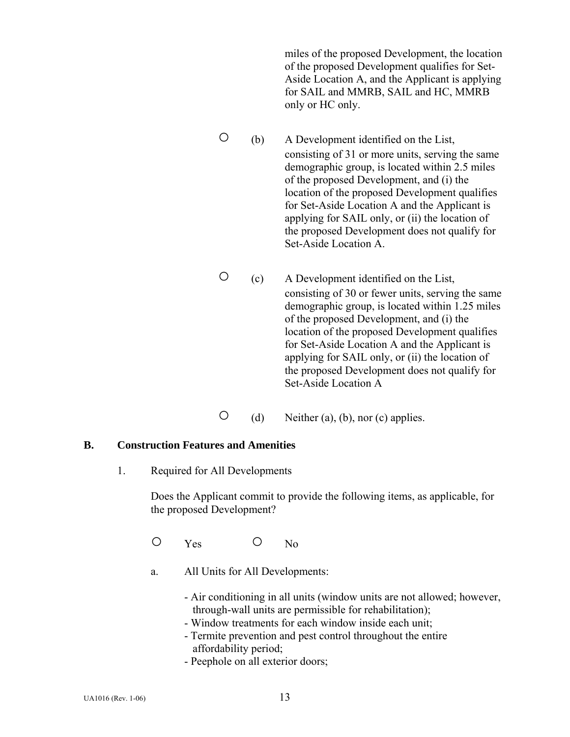miles of the proposed Development, the location of the proposed Development qualifies for Set-Aside Location A, and the Applicant is applying for SAIL and MMRB, SAIL and HC, MMRB only or HC only.

- (b) A Development identified on the List, consisting of 31 or more units, serving the same demographic group, is located within 2.5 miles of the proposed Development, and (i) the location of the proposed Development qualifies for Set-Aside Location A and the Applicant is applying for SAIL only, or (ii) the location of the proposed Development does not qualify for Set-Aside Location A.
- (c) A Development identified on the List, consisting of 30 or fewer units, serving the same demographic group, is located within 1.25 miles of the proposed Development, and (i) the location of the proposed Development qualifies for Set-Aside Location A and the Applicant is applying for SAIL only, or (ii) the location of the proposed Development does not qualify for Set-Aside Location A
- $\bigcirc$  (d) Neither (a), (b), nor (c) applies.

#### **B. Construction Features and Amenities**

1. Required for All Developments

Does the Applicant commit to provide the following items, as applicable, for the proposed Development?

O Yes O No

- a. All Units for All Developments:
	- Air conditioning in all units (window units are not allowed; however, through-wall units are permissible for rehabilitation);
	- Window treatments for each window inside each unit;
	- Termite prevention and pest control throughout the entire affordability period;
	- Peephole on all exterior doors;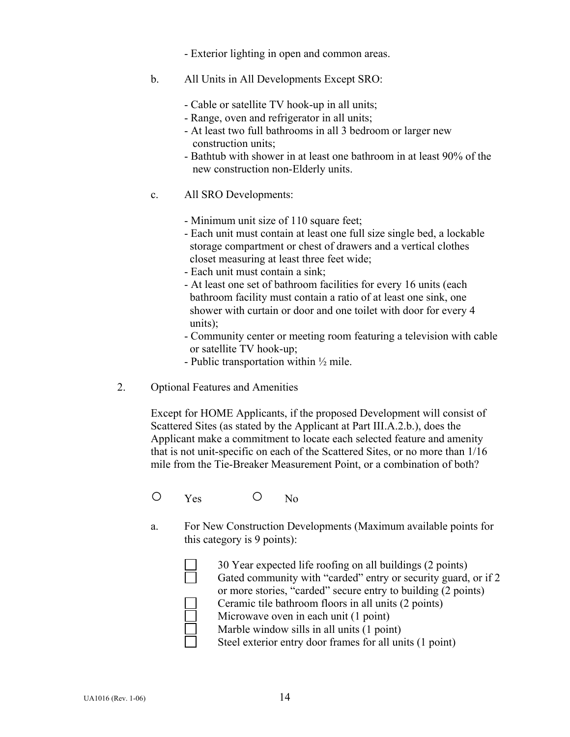- Exterior lighting in open and common areas.
- b. All Units in All Developments Except SRO:
	- Cable or satellite TV hook-up in all units;
	- Range, oven and refrigerator in all units;
	- At least two full bathrooms in all 3 bedroom or larger new construction units;
	- Bathtub with shower in at least one bathroom in at least 90% of the new construction non-Elderly units.
- c. All SRO Developments:
	- Minimum unit size of 110 square feet;
	- Each unit must contain at least one full size single bed, a lockable storage compartment or chest of drawers and a vertical clothes closet measuring at least three feet wide;
	- Each unit must contain a sink;
	- At least one set of bathroom facilities for every 16 units (each bathroom facility must contain a ratio of at least one sink, one shower with curtain or door and one toilet with door for every 4 units);
	- Community center or meeting room featuring a television with cable or satellite TV hook-up;
	- Public transportation within  $\frac{1}{2}$  mile.
- 2. Optional Features and Amenities

 Except for HOME Applicants, if the proposed Development will consist of Scattered Sites (as stated by the Applicant at Part III.A.2.b.), does the Applicant make a commitment to locate each selected feature and amenity that is not unit-specific on each of the Scattered Sites, or no more than 1/16 mile from the Tie-Breaker Measurement Point, or a combination of both?

O Yes O No

a. For New Construction Developments (Maximum available points for this category is 9 points):

| 30 Year expected life roofing on all buildings (2 points)      |
|----------------------------------------------------------------|
| Gated community with "carded" entry or security guard, or if 2 |
| or more stories, "carded" secure entry to building (2 points)  |
| Ceramic tile bathroom floors in all units (2 points)           |
| Microwave oven in each unit (1 point)                          |
| Marble window sills in all units (1 point)                     |
| Steel exterior entry door frames for all units (1 point)       |
|                                                                |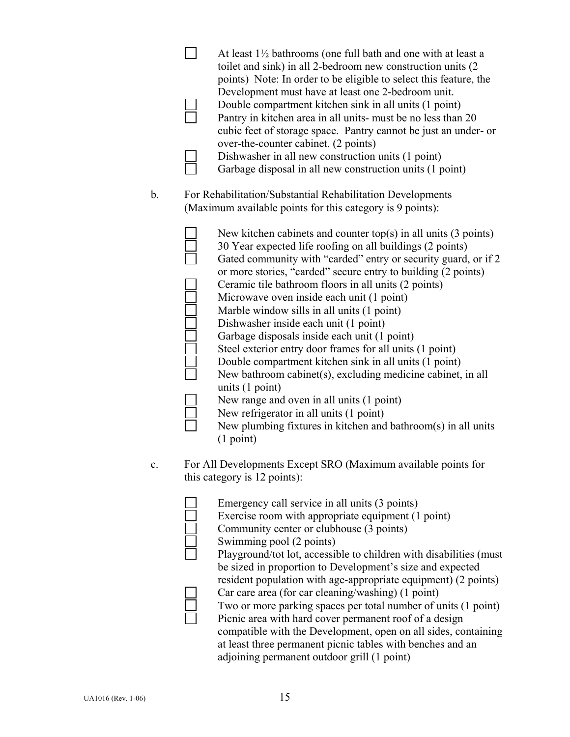|    |  | At least $1\frac{1}{2}$ bathrooms (one full bath and one with at least a<br>toilet and sink) in all 2-bedroom new construction units (2)<br>points) Note: In order to be eligible to select this feature, the |
|----|--|---------------------------------------------------------------------------------------------------------------------------------------------------------------------------------------------------------------|
|    |  | Development must have at least one 2-bedroom unit.                                                                                                                                                            |
|    |  | Double compartment kitchen sink in all units (1 point)<br>Pantry in kitchen area in all units- must be no less than 20<br>cubic feet of storage space. Pantry cannot be just an under- or                     |
|    |  | over-the-counter cabinet. (2 points)                                                                                                                                                                          |
|    |  | Dishwasher in all new construction units (1 point)<br>Garbage disposal in all new construction units (1 point)                                                                                                |
| b. |  | For Rehabilitation/Substantial Rehabilitation Developments<br>(Maximum available points for this category is 9 points):                                                                                       |
|    |  | New kitchen cabinets and counter top(s) in all units $(3 \text{ points})$<br>30 Year expected life roofing on all buildings (2 points)<br>Gated community with "carded" entry or security quard or if?        |

| Gated community with "carded" entry or security guard, or if 2 |
|----------------------------------------------------------------|
| or more stories, "carded" secure entry to building (2 points)  |
| Ceramic tile bathroom floors in all units (2 points)           |
| Microwave oven inside each unit (1 point)                      |
| Marble window sills in all units (1 point)                     |
| Dishwasher inside each unit (1 point)                          |
| Garbage disposals inside each unit (1 point)                   |
| Steel exterior entry door frames for all units (1 point)       |
| Double compartment kitchen sink in all units (1 point)         |
| New bathroom cabinet(s), excluding medicine cabinet, in all    |
| units $(1 point)$                                              |
| New range and oven in all units (1 point)                      |
| New refrigerator in all units (1 point)                        |
| New plumbing fixtures in kitchen and bathroom(s) in all units  |
| $(1$ point)                                                    |

c. For All Developments Except SRO (Maximum available points for this category is 12 points):

| Emergency call service in all units (3 points)                     |
|--------------------------------------------------------------------|
| Exercise room with appropriate equipment (1 point)                 |
| Community center or clubhouse (3 points)                           |
| Swimming pool (2 points)                                           |
| Playground/tot lot, accessible to children with disabilities (must |
| be sized in proportion to Development's size and expected          |
| resident population with age-appropriate equipment) (2 points)     |
| Car care area (for car cleaning/washing) (1 point)                 |
| Two or more parking spaces per total number of units (1 point)     |
| Picnic area with hard cover permanent roof of a design             |
| compatible with the Development, open on all sides, containing     |
| at least three permanent picnic tables with benches and an         |
| adjoining permanent outdoor grill (1 point)                        |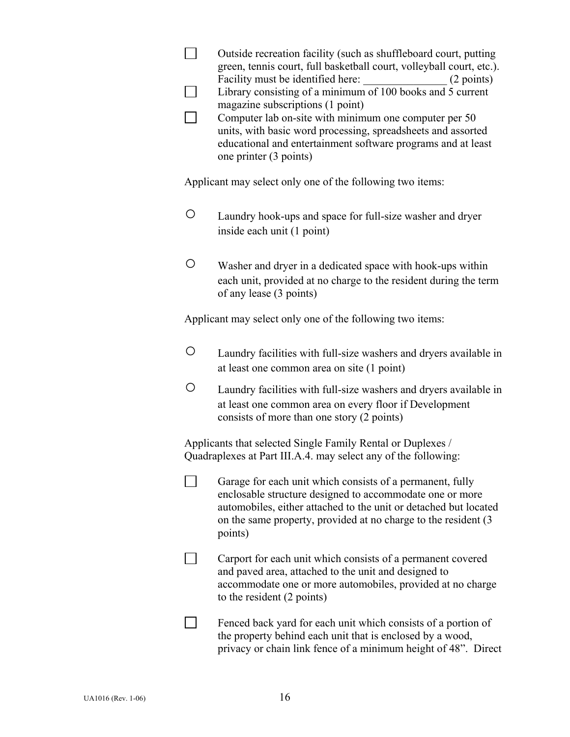|                                                           | Outside recreation facility (such as shuffleboard court, putting<br>green, tennis court, full basketball court, volleyball court, etc.).<br>Facility must be identified here:<br>(2 points)<br>Library consisting of a minimum of 100 books and 5 current<br>magazine subscriptions (1 point)<br>Computer lab on-site with minimum one computer per 50<br>units, with basic word processing, spreadsheets and assorted<br>educational and entertainment software programs and at least<br>one printer (3 points) |
|-----------------------------------------------------------|------------------------------------------------------------------------------------------------------------------------------------------------------------------------------------------------------------------------------------------------------------------------------------------------------------------------------------------------------------------------------------------------------------------------------------------------------------------------------------------------------------------|
|                                                           | Applicant may select only one of the following two items:                                                                                                                                                                                                                                                                                                                                                                                                                                                        |
| O                                                         | Laundry hook-ups and space for full-size washer and dryer<br>inside each unit (1 point)                                                                                                                                                                                                                                                                                                                                                                                                                          |
| O                                                         | Washer and dryer in a dedicated space with hook-ups within<br>each unit, provided at no charge to the resident during the term<br>of any lease (3 points)                                                                                                                                                                                                                                                                                                                                                        |
| Applicant may select only one of the following two items: |                                                                                                                                                                                                                                                                                                                                                                                                                                                                                                                  |
| O                                                         | Laundry facilities with full-size washers and dryers available in<br>at least one common area on site (1 point)                                                                                                                                                                                                                                                                                                                                                                                                  |
| O                                                         | Laundry facilities with full-size washers and dryers available in<br>at least one common area on every floor if Development<br>consists of more than one story (2 points)                                                                                                                                                                                                                                                                                                                                        |
|                                                           | Applicants that selected Single Family Rental or Duplexes /<br>Quadraplexes at Part III.A.4. may select any of the following:                                                                                                                                                                                                                                                                                                                                                                                    |
|                                                           | Garage for each unit which consists of a permanent, fully<br>enclosable structure designed to accommodate one or more<br>automobiles, either attached to the unit or detached but located<br>on the same property, provided at no charge to the resident (3)<br>points)                                                                                                                                                                                                                                          |
|                                                           | Carport for each unit which consists of a permanent covered<br>and paved area, attached to the unit and designed to<br>accommodate one or more automobiles, provided at no charge<br>to the resident (2 points)                                                                                                                                                                                                                                                                                                  |
|                                                           | Fenced back yard for each unit which consists of a portion of<br>the property behind each unit that is enclosed by a wood,<br>privacy or chain link fence of a minimum height of 48". Direct                                                                                                                                                                                                                                                                                                                     |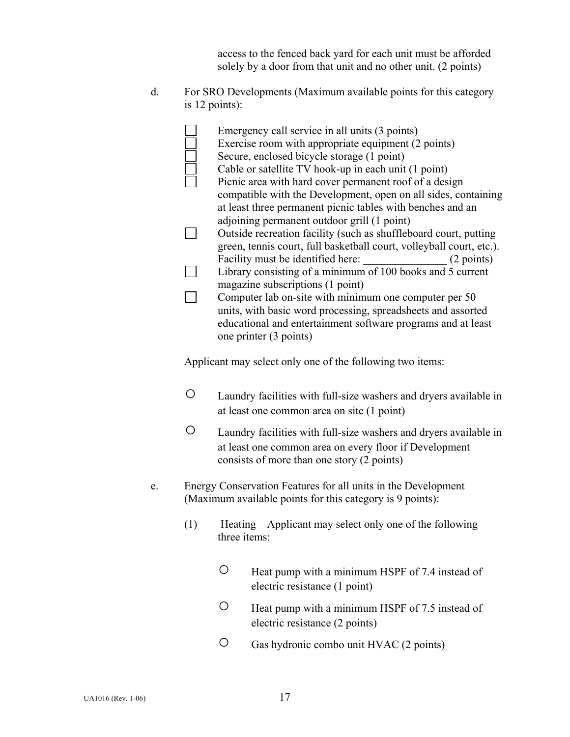access to the fenced back yard for each unit must be afforded solely by a door from that unit and no other unit. (2 points)

d. For SRO Developments (Maximum available points for this category is 12 points):

| Emergency call service in all units (3 points)<br>Exercise room with appropriate equipment (2 points) |            |
|-------------------------------------------------------------------------------------------------------|------------|
| Secure, enclosed bicycle storage (1 point)                                                            |            |
| Cable or satellite TV hook-up in each unit (1 point)                                                  |            |
| Picnic area with hard cover permanent roof of a design                                                |            |
| compatible with the Development, open on all sides, containing                                        |            |
| at least three permanent picnic tables with benches and an                                            |            |
| adjoining permanent outdoor grill (1 point)                                                           |            |
| Outside recreation facility (such as shuffleboard court, putting                                      |            |
| green, tennis court, full basketball court, volleyball court, etc.).                                  |            |
| Facility must be identified here:                                                                     | (2 points) |
| Library consisting of a minimum of 100 books and 5 current                                            |            |
| magazine subscriptions (1 point)                                                                      |            |
| Computer lab on-site with minimum one computer per 50                                                 |            |
| units, with basic word processing, spreadsheets and assorted                                          |            |
| educational and entertainment software programs and at least                                          |            |
| one printer (3 points)                                                                                |            |

Applicant may select only one of the following two items:

- Laundry facilities with full-size washers and dryers available in at least one common area on site (1 point)
- Laundry facilities with full-size washers and dryers available in at least one common area on every floor if Development consists of more than one story (2 points)
- e. Energy Conservation Features for all units in the Development (Maximum available points for this category is 9 points):
	- (1) Heating Applicant may select only one of the following three items:
		- Heat pump with a minimum HSPF of 7.4 instead of electric resistance (1 point)
		- Heat pump with a minimum HSPF of 7.5 instead of electric resistance (2 points)
		- Gas hydronic combo unit HVAC (2 points)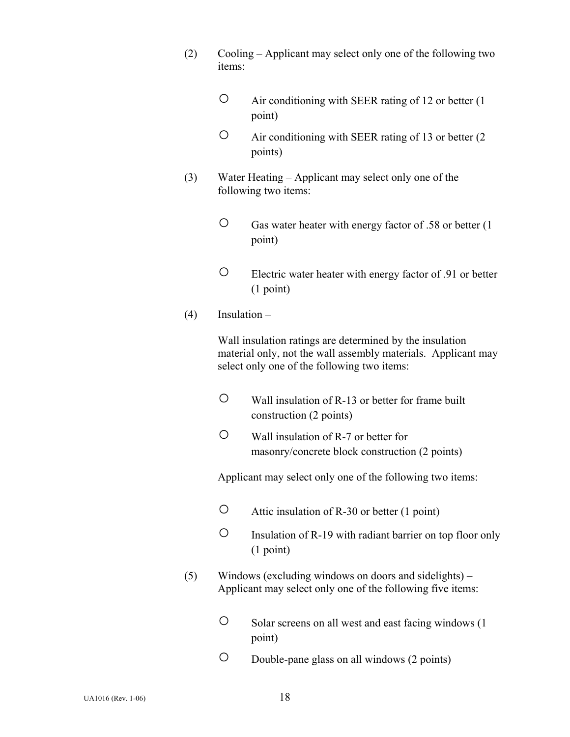- (2) Cooling Applicant may select only one of the following two items:
	- Air conditioning with SEER rating of 12 or better (1 point)
	- Air conditioning with SEER rating of 13 or better (2 points)
- (3) Water Heating Applicant may select only one of the following two items:
	- Gas water heater with energy factor of .58 or better (1 point)
	- Electric water heater with energy factor of .91 or better (1 point)
- (4) Insulation –

Wall insulation ratings are determined by the insulation material only, not the wall assembly materials. Applicant may select only one of the following two items:

- Wall insulation of R-13 or better for frame built construction (2 points)
- Wall insulation of R-7 or better for masonry/concrete block construction (2 points)

Applicant may select only one of the following two items:

- Attic insulation of R-30 or better (1 point)
- Insulation of R-19 with radiant barrier on top floor only (1 point)
- (5) Windows (excluding windows on doors and sidelights) Applicant may select only one of the following five items:
	- Solar screens on all west and east facing windows (1 point)
	- Double-pane glass on all windows (2 points)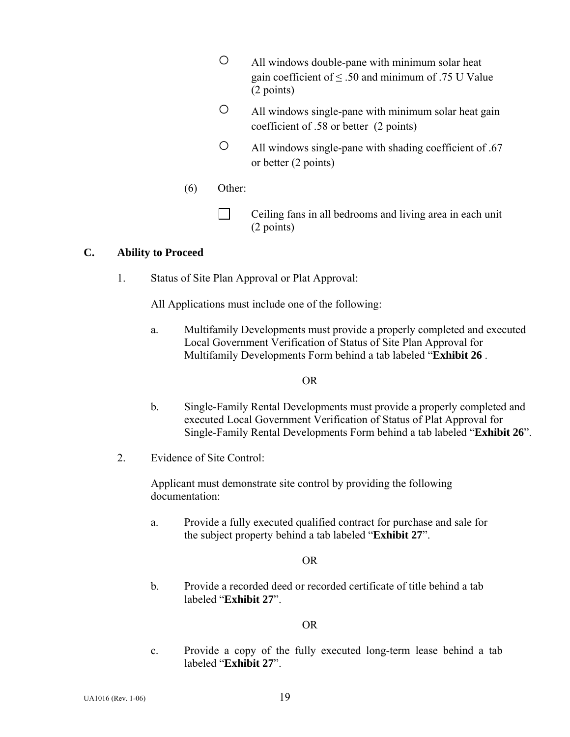- All windows double-pane with minimum solar heat gain coefficient of  $\leq$  .50 and minimum of .75 U Value (2 points)
- All windows single-pane with minimum solar heat gain coefficient of .58 or better (2 points)
- All windows single-pane with shading coefficient of .67 or better (2 points)
- (6) Other:
	- Ceiling fans in all bedrooms and living area in each unit (2 points)

### **C. Ability to Proceed**

1. Status of Site Plan Approval or Plat Approval:

All Applications must include one of the following:

 a. Multifamily Developments must provide a properly completed and executed Local Government Verification of Status of Site Plan Approval for Multifamily Developments Form behind a tab labeled "**Exhibit 26** .

#### OR

- b. Single-Family Rental Developments must provide a properly completed and executed Local Government Verification of Status of Plat Approval for Single-Family Rental Developments Form behind a tab labeled "**Exhibit 26**".
- 2. Evidence of Site Control:

 Applicant must demonstrate site control by providing the following documentation:

 a. Provide a fully executed qualified contract for purchase and sale for the subject property behind a tab labeled "**Exhibit 27**".

## OR

 b. Provide a recorded deed or recorded certificate of title behind a tab labeled "**Exhibit 27**".

## OR

 c. Provide a copy of the fully executed long-term lease behind a tab labeled "**Exhibit 27**".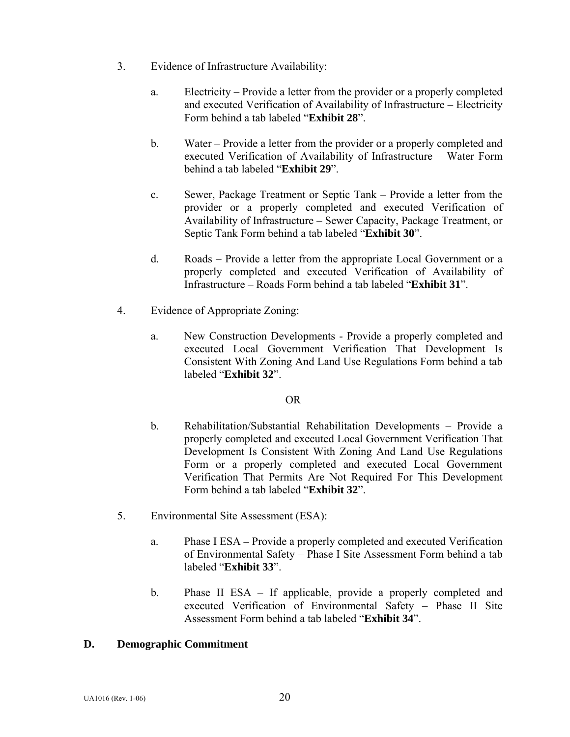- 3. Evidence of Infrastructure Availability:
	- a. Electricity Provide a letter from the provider or a properly completed and executed Verification of Availability of Infrastructure – Electricity Form behind a tab labeled "**Exhibit 28**".
	- b. Water Provide a letter from the provider or a properly completed and executed Verification of Availability of Infrastructure – Water Form behind a tab labeled "**Exhibit 29**".
	- c. Sewer, Package Treatment or Septic Tank Provide a letter from the provider or a properly completed and executed Verification of Availability of Infrastructure – Sewer Capacity, Package Treatment, or Septic Tank Form behind a tab labeled "**Exhibit 30**".
	- d. Roads Provide a letter from the appropriate Local Government or a properly completed and executed Verification of Availability of Infrastructure – Roads Form behind a tab labeled "**Exhibit 31**".
- 4. Evidence of Appropriate Zoning:
	- a. New Construction Developments Provide a properly completed and executed Local Government Verification That Development Is Consistent With Zoning And Land Use Regulations Form behind a tab labeled "**Exhibit 32**".

#### OR

- b. Rehabilitation/Substantial Rehabilitation Developments Provide a properly completed and executed Local Government Verification That Development Is Consistent With Zoning And Land Use Regulations Form or a properly completed and executed Local Government Verification That Permits Are Not Required For This Development Form behind a tab labeled "**Exhibit 32**".
- 5. Environmental Site Assessment (ESA):
	- a. Phase I ESAProvide a properly completed and executed Verification of Environmental Safety – Phase I Site Assessment Form behind a tab labeled "**Exhibit 33**".
	- b. Phase II ESA If applicable, provide a properly completed and executed Verification of Environmental Safety – Phase II Site Assessment Form behind a tab labeled "**Exhibit 34**".

## **D. Demographic Commitment**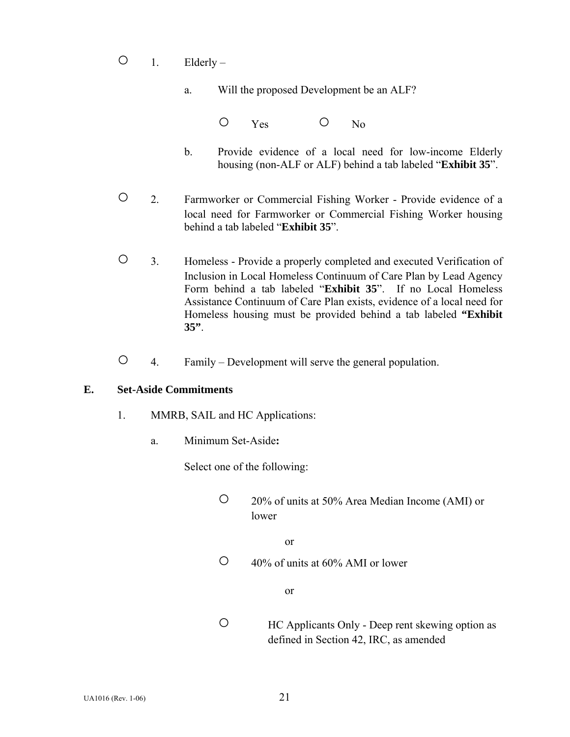- $O_1$ . Elderly
	- a. Will the proposed Development be an ALF?

O Yes O No

- b. Provide evidence of a local need for low-income Elderly housing (non-ALF or ALF) behind a tab labeled "**Exhibit 35**".
- 2. Farmworker or Commercial Fishing Worker Provide evidence of a local need for Farmworker or Commercial Fishing Worker housing behind a tab labeled "**Exhibit 35**".
- 3. Homeless Provide a properly completed and executed Verification of Inclusion in Local Homeless Continuum of Care Plan by Lead Agency Form behind a tab labeled "**Exhibit 35**". If no Local Homeless Assistance Continuum of Care Plan exists, evidence of a local need for Homeless housing must be provided behind a tab labeled **"Exhibit 35"**.
- 4. Family Development will serve the general population.

#### **E. Set-Aside Commitments**

- 1. MMRB, SAIL and HC Applications:
	- a. Minimum Set-Aside**:**

Select one of the following:

 ○ 20% of units at 50% Area Median Income (AMI) or lower

or

 $\circ$  40% of units at 60% AMI or lower

or

○ HC Applicants Only - Deep rent skewing option as defined in Section 42, IRC, as amended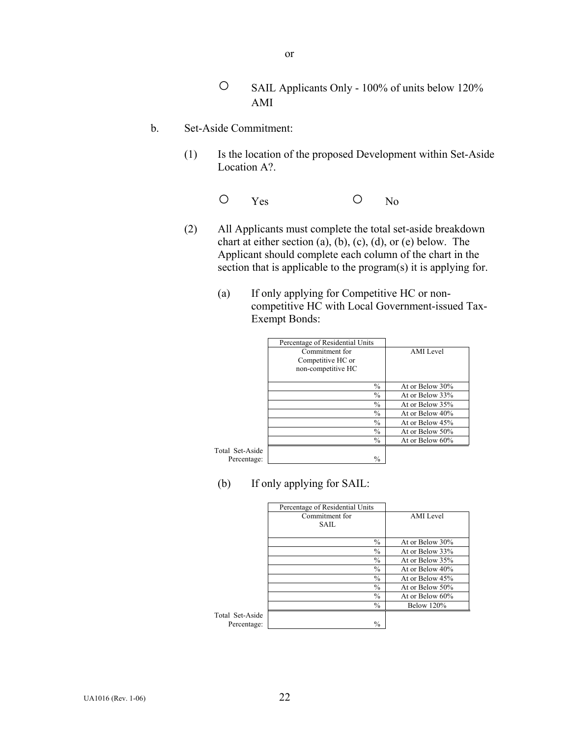- SAIL Applicants Only 100% of units below 120% AMI
- b. Set-Aside Commitment:
	- (1) Is the location of the proposed Development within Set-Aside Location A?.
- O Yes O No
	- (2) All Applicants must complete the total set-aside breakdown chart at either section (a), (b), (c), (d), or (e) below. The Applicant should complete each column of the chart in the section that is applicable to the program(s) it is applying for.
		- (a) If only applying for Competitive HC or noncompetitive HC with Local Government-issued Tax-Exempt Bonds:

|             | Percentage of Residential Units |                 |
|-------------|---------------------------------|-----------------|
|             | Commitment for                  | AMI Level       |
|             | Competitive HC or               |                 |
|             | non-competitive HC              |                 |
|             |                                 |                 |
|             | $\frac{0}{0}$                   | At or Below 30% |
|             | $\frac{0}{0}$                   | At or Below 33% |
|             | $\frac{0}{0}$                   | At or Below 35% |
|             | $\frac{0}{0}$                   | At or Below 40% |
|             | $\frac{0}{0}$                   | At or Below 45% |
|             | $\frac{0}{0}$                   | At or Below 50% |
|             | $\frac{0}{0}$                   | At or Below 60% |
| l Set-Aside |                                 |                 |
| Percentage: | $\frac{0}{0}$                   |                 |

Total Set-Asi

(b) If only applying for SAIL:

|            | Percentage of Residential Units |                   |
|------------|---------------------------------|-------------------|
|            | Commitment for                  | AMI Level         |
|            | <b>SAIL</b>                     |                   |
|            | $\frac{0}{0}$                   | At or Below 30%   |
|            | $\frac{0}{0}$                   | At or Below 33%   |
|            | $\frac{0}{0}$                   | At or Below 35%   |
|            | $\frac{0}{0}$                   | At or Below 40%   |
|            | $\frac{0}{0}$                   | At or Below 45%   |
|            | $\frac{0}{0}$                   | At or Below 50%   |
|            | $\frac{0}{0}$                   | At or Below 60%   |
|            | $\frac{0}{0}$                   | <b>Below 120%</b> |
| Set-Aside  |                                 |                   |
| ercentage: | $\frac{0}{0}$                   |                   |

Total Set-Asi Percentag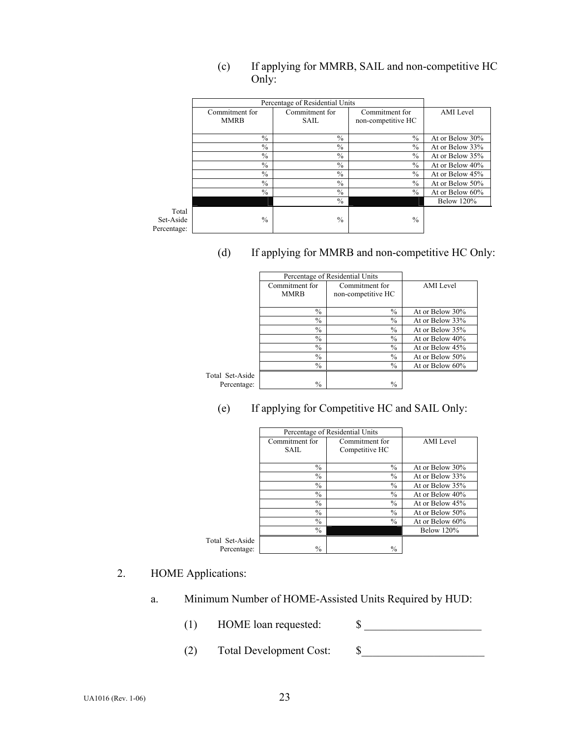- Percentage of Residential Units Commitment for MMRB Commitment for SAIL Commitment for non-competitive HC AMI Level  $\%$  At or Below 30%  $\frac{\%}{\%}$   $\frac{\%}{\%}$   $\frac{\%}{\%}$  At or Below 33%<br>  $\frac{\%}{\%}$  At or Below 35%  $\frac{96}{96}$   $\frac{96}{96}$   $\frac{96}{96}$  At or Below 35%<br>  $\frac{96}{96}$  At or Below 40% At or Below 40%  $\frac{\%}{\%}$  %  $\frac{\%}{\%}$  At or Below 45% At or Below 50%  $\%$  At or Below 50% % % % At or Below 60%  $\%$  Below 120% Total Set-Aside Percentage:  $\%$  %  $\%$
- (c) If applying for MMRB, SAIL and non-competitive HC Only:

(d) If applying for MMRB and non-competitive HC Only:

|            |                | Percentage of Residential Units |                  |
|------------|----------------|---------------------------------|------------------|
|            | Commitment for | Commitment for                  | <b>AMI</b> Level |
|            | <b>MMRB</b>    | non-competitive HC              |                  |
|            |                |                                 |                  |
|            | $\frac{0}{0}$  | $\frac{0}{0}$                   | At or Below 30%  |
|            | $\frac{0}{0}$  | $\frac{0}{0}$                   | At or Below 33%  |
|            | $\frac{0}{0}$  | $\frac{0}{0}$                   | At or Below 35%  |
|            | $\frac{0}{0}$  | $\frac{0}{0}$                   | At or Below 40%  |
|            | $\frac{0}{0}$  | $\%$                            | At or Below 45%  |
|            | $\frac{0}{0}$  | $\frac{0}{0}$                   | At or Below 50%  |
|            | $\frac{0}{0}$  | $\frac{0}{0}$                   | At or Below 60%  |
| Set-Aside  |                |                                 |                  |
| ercentage: | $\frac{0}{0}$  | $\frac{0}{0}$                   |                  |
|            |                |                                 |                  |

Total Set-Asid Percentage

(e) If applying for Competitive HC and SAIL Only:

|                 |                                                 | Percentage of Residential Units                 |                                    |
|-----------------|-------------------------------------------------|-------------------------------------------------|------------------------------------|
|                 | Commitment for<br><b>SAIL</b>                   | Commitment for<br>Competitive HC                | AMI Level                          |
|                 | $\frac{0}{0}$                                   | $\frac{0}{0}$                                   | At or Below 30%                    |
|                 | $\frac{0}{0}$<br>$\frac{0}{0}$<br>$\frac{0}{0}$ | $\frac{0}{0}$<br>$\frac{0}{0}$<br>$\frac{0}{0}$ | At or Below 33%<br>At or Below 35% |
|                 | $\frac{0}{0}$                                   | $\frac{0}{0}$                                   | At or Below 40%<br>At or Below 45% |
|                 | $\frac{0}{0}$<br>$\frac{0}{0}$                  | $\frac{0}{0}$<br>$\frac{0}{0}$                  | At or Below 50%<br>At or Below 60% |
| Total Set-Aside | $\frac{0}{0}$                                   |                                                 | <b>Below 120%</b>                  |
| Percentage:     | $\frac{0}{0}$                                   | $\frac{0}{0}$                                   |                                    |

2. HOME Applications:

- a. Minimum Number of HOME-Assisted Units Required by HUD:
	- (1) HOME loan requested: \$ \_\_\_\_\_\_\_\_\_\_\_\_\_\_\_\_\_\_\_\_\_
		-
	- (2) Total Development Cost: \$\_\_\_\_\_\_\_\_\_\_\_\_\_\_\_\_\_\_\_\_\_\_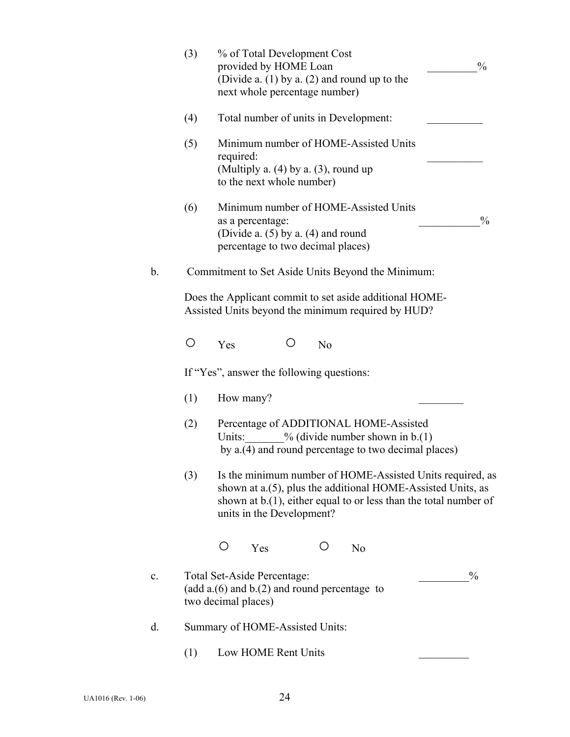|                | (3) | % of Total Development Cost<br>provided by HOME Loan<br>$\frac{0}{0}$<br>(Divide a. $(1)$ by a. $(2)$ and round up to the<br>next whole percentage number)                                                                  |
|----------------|-----|-----------------------------------------------------------------------------------------------------------------------------------------------------------------------------------------------------------------------------|
|                | (4) | Total number of units in Development:                                                                                                                                                                                       |
|                | (5) | Minimum number of HOME-Assisted Units<br>required:<br>(Multiply a. $(4)$ by a. $(3)$ , round up<br>to the next whole number)                                                                                                |
|                | (6) | Minimum number of HOME-Assisted Units<br>$\frac{0}{0}$<br>as a percentage:<br>(Divide a. $(5)$ by a. $(4)$ and round<br>percentage to two decimal places)                                                                   |
| $b$ .          |     | Commitment to Set Aside Units Beyond the Minimum:                                                                                                                                                                           |
|                |     | Does the Applicant commit to set aside additional HOME-<br>Assisted Units beyond the minimum required by HUD?                                                                                                               |
|                | O   | Yes<br>N <sub>o</sub>                                                                                                                                                                                                       |
|                |     | If "Yes", answer the following questions:                                                                                                                                                                                   |
|                | (1) | How many?                                                                                                                                                                                                                   |
|                | (2) | Percentage of ADDITIONAL HOME-Assisted<br>$\%$ (divide number shown in b.(1)<br>Units:<br>by a.(4) and round percentage to two decimal places)                                                                              |
|                | (3) | Is the minimum number of HOME-Assisted Units required, as<br>shown at a.(5), plus the additional HOME-Assisted Units, as<br>shown at $b(1)$ , either equal to or less than the total number of<br>units in the Development? |
|                |     | Ő<br>Yes<br>N <sub>o</sub>                                                                                                                                                                                                  |
| $\mathbf{c}$ . |     | Total Set-Aside Percentage:<br>$\frac{0}{0}$<br>(add $a(6)$ and $b(2)$ and round percentage to<br>two decimal places)                                                                                                       |
| d.             |     | Summary of HOME-Assisted Units:                                                                                                                                                                                             |
|                | (1) | Low HOME Rent Units                                                                                                                                                                                                         |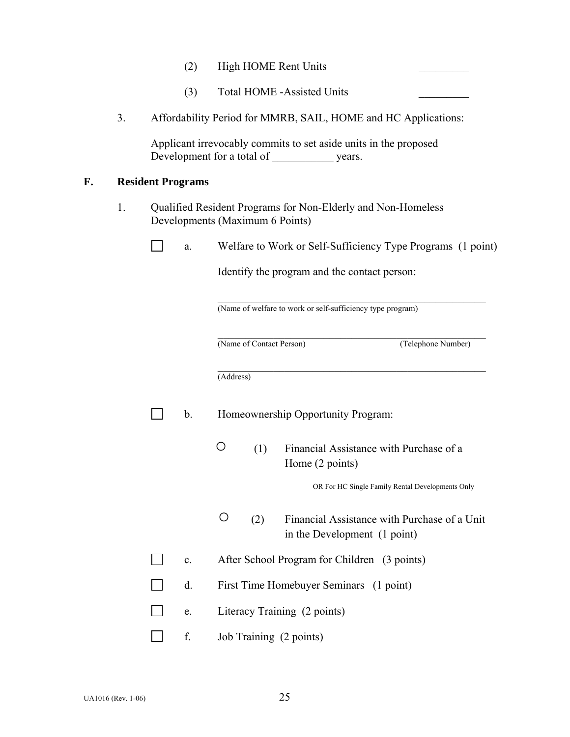- (2) High HOME Rent Units
- (3) Total HOME -Assisted Units
- 3. Affordability Period for MMRB, SAIL, HOME and HC Applications:

Applicant irrevocably commits to set aside units in the proposed Development for a total of vears.

#### **F. Resident Programs**

 $\Box$ 

 $\Box$ 

1. Qualified Resident Programs for Non-Elderly and Non-Homeless Developments (Maximum 6 Points)

| Welfare to Work of |  |
|--------------------|--|
|                    |  |

br Self-Sufficiency Type Programs (1 point)

Identify the program and the contact person:

(Name of welfare to work or self-sufficiency type program)

 $\mathcal{L}_\mathcal{L} = \{ \mathcal{L}_\mathcal{L} = \{ \mathcal{L}_\mathcal{L} = \{ \mathcal{L}_\mathcal{L} = \{ \mathcal{L}_\mathcal{L} = \{ \mathcal{L}_\mathcal{L} = \{ \mathcal{L}_\mathcal{L} = \{ \mathcal{L}_\mathcal{L} = \{ \mathcal{L}_\mathcal{L} = \{ \mathcal{L}_\mathcal{L} = \{ \mathcal{L}_\mathcal{L} = \{ \mathcal{L}_\mathcal{L} = \{ \mathcal{L}_\mathcal{L} = \{ \mathcal{L}_\mathcal{L} = \{ \mathcal{L}_\mathcal{$ 

 $\mathcal{L}_\mathcal{L} = \{ \mathcal{L}_\mathcal{L} = \{ \mathcal{L}_\mathcal{L} = \{ \mathcal{L}_\mathcal{L} = \{ \mathcal{L}_\mathcal{L} = \{ \mathcal{L}_\mathcal{L} = \{ \mathcal{L}_\mathcal{L} = \{ \mathcal{L}_\mathcal{L} = \{ \mathcal{L}_\mathcal{L} = \{ \mathcal{L}_\mathcal{L} = \{ \mathcal{L}_\mathcal{L} = \{ \mathcal{L}_\mathcal{L} = \{ \mathcal{L}_\mathcal{L} = \{ \mathcal{L}_\mathcal{L} = \{ \mathcal{L}_\mathcal{$ 

 $\mathcal{L}_\mathcal{L} = \{ \mathcal{L}_\mathcal{L} = \{ \mathcal{L}_\mathcal{L} = \{ \mathcal{L}_\mathcal{L} = \{ \mathcal{L}_\mathcal{L} = \{ \mathcal{L}_\mathcal{L} = \{ \mathcal{L}_\mathcal{L} = \{ \mathcal{L}_\mathcal{L} = \{ \mathcal{L}_\mathcal{L} = \{ \mathcal{L}_\mathcal{L} = \{ \mathcal{L}_\mathcal{L} = \{ \mathcal{L}_\mathcal{L} = \{ \mathcal{L}_\mathcal{L} = \{ \mathcal{L}_\mathcal{L} = \{ \mathcal{L}_\mathcal{$ 

(Name of Contact Person) (Telephone Number)

(Address)

- b. Homeownership Opportunity Program:
	- (1) Financial Assistance with Purchase of a Home (2 points)

OR For HC Single Family Rental Developments Only

- (2) Financial Assistance with Purchase of a Unit in the Development (1 point)
- **a c.** After School Program for Children (3 points)
- $\mathbf{L}$ d. First Time Homebuyer Seminars (1 point)
	- e. Literacy Training (2 points)
- $\Box$ f. Job Training (2 points)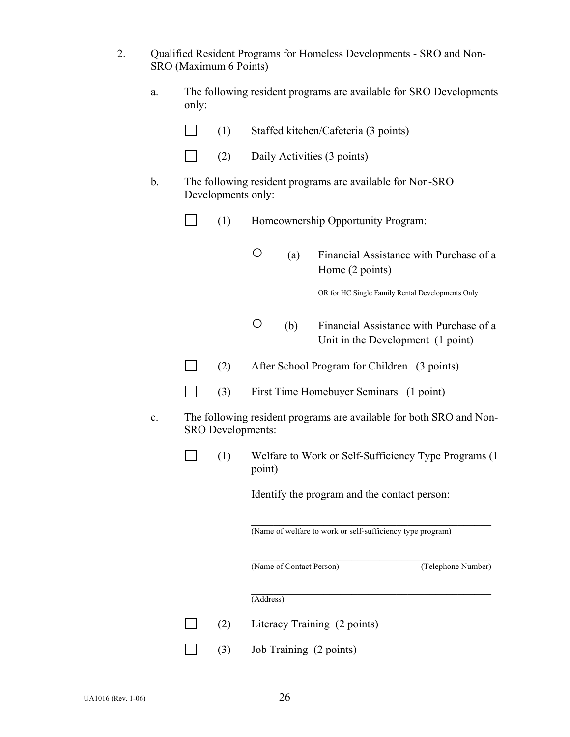| Qualified Resident Programs for Homeless Developments - SRO and Non- |
|----------------------------------------------------------------------|
| SRO (Maximum 6 Points)                                               |

| a. | The following resident programs are available for SRO Developments |
|----|--------------------------------------------------------------------|
|    | only:                                                              |

| $\Box$<br>(1) | Staffed kitchen/Cafeteria (3 points) |
|---------------|--------------------------------------|
|---------------|--------------------------------------|

- $\Box$  (2) Daily Activities (3 points)
- b. The following resident programs are available for Non-SRO Developments only:
	- $\Box$ (1) Homeownership Opportunity Program:
		- (a) Financial Assistance with Purchase of a Home (2 points)

OR for HC Single Family Rental Developments Only

- (b) Financial Assistance with Purchase of a Unit in the Development (1 point)
- (2) After School Program for Children (3 points)
- $\Box$ (3) First Time Homebuyer Seminars (1 point)
- c. The following resident programs are available for both SRO and Non-SRO Developments:
	- (1) Welfare to Work or Self-Sufficiency Type Programs (1 point)

Identify the program and the contact person:

 $\mathcal{L}_\mathcal{L} = \mathcal{L}_\mathcal{L} = \mathcal{L}_\mathcal{L} = \mathcal{L}_\mathcal{L} = \mathcal{L}_\mathcal{L} = \mathcal{L}_\mathcal{L} = \mathcal{L}_\mathcal{L} = \mathcal{L}_\mathcal{L} = \mathcal{L}_\mathcal{L} = \mathcal{L}_\mathcal{L} = \mathcal{L}_\mathcal{L} = \mathcal{L}_\mathcal{L} = \mathcal{L}_\mathcal{L} = \mathcal{L}_\mathcal{L} = \mathcal{L}_\mathcal{L} = \mathcal{L}_\mathcal{L} = \mathcal{L}_\mathcal{L}$ (Name of welfare to work or self-sufficiency type program)

(Name of Contact Person) (Telephone Number)

 $\mathcal{L}_\mathcal{L} = \mathcal{L}_\mathcal{L} = \mathcal{L}_\mathcal{L} = \mathcal{L}_\mathcal{L} = \mathcal{L}_\mathcal{L} = \mathcal{L}_\mathcal{L} = \mathcal{L}_\mathcal{L} = \mathcal{L}_\mathcal{L} = \mathcal{L}_\mathcal{L} = \mathcal{L}_\mathcal{L} = \mathcal{L}_\mathcal{L} = \mathcal{L}_\mathcal{L} = \mathcal{L}_\mathcal{L} = \mathcal{L}_\mathcal{L} = \mathcal{L}_\mathcal{L} = \mathcal{L}_\mathcal{L} = \mathcal{L}_\mathcal{L}$ 

 $\mathcal{L}_\mathcal{L} = \mathcal{L}_\mathcal{L} = \mathcal{L}_\mathcal{L} = \mathcal{L}_\mathcal{L} = \mathcal{L}_\mathcal{L} = \mathcal{L}_\mathcal{L} = \mathcal{L}_\mathcal{L} = \mathcal{L}_\mathcal{L} = \mathcal{L}_\mathcal{L} = \mathcal{L}_\mathcal{L} = \mathcal{L}_\mathcal{L} = \mathcal{L}_\mathcal{L} = \mathcal{L}_\mathcal{L} = \mathcal{L}_\mathcal{L} = \mathcal{L}_\mathcal{L} = \mathcal{L}_\mathcal{L} = \mathcal{L}_\mathcal{L}$ 

(Address)

 $\overline{\phantom{a}}$ 

 $\perp$ 

(2) Literacy Training (2 points)  $\mathcal{L}$ 

(3) Job Training (2 points)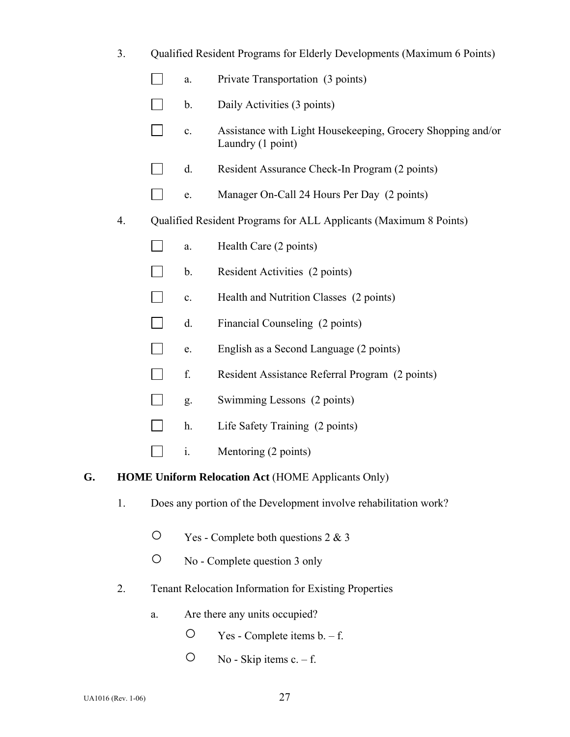|  |  | Qualified Resident Programs for Elderly Developments (Maximum 6 Points) |  |
|--|--|-------------------------------------------------------------------------|--|

- $\Box$ a. Private Transportation (3 points)
- $\Box$  b. Daily Activities (3 points)
- c. Assistance with Light Housekeeping, Grocery Shopping and/or Laundry (1 point)
- d. Resident Assurance Check-In Program (2 points)
- **e.** Manager On-Call 24 Hours Per Day (2 points)
- 4. Qualified Resident Programs for ALL Applicants (Maximum 8 Points)
	- $\Box$  a. Health Care (2 points)
	- b. Resident Activities  $(2 \text{ points})$
	- $\Box$ c. Health and Nutrition Classes (2 points)
	- $\Box$ d. Financial Counseling (2 points)
	- $\Box$ e. English as a Second Language (2 points)
	- $\Box$ f. Resident Assistance Referral Program (2 points)
	- **g.** Swimming Lessons (2 points)
	- $\Box$  h. Life Safety Training (2 points)
	- i.Mentoring (2 points)

#### **G. HOME Uniform Relocation Act** (HOME Applicants Only)

- 1. Does any portion of the Development involve rehabilitation work?
	- $\circ$  Yes Complete both questions 2 & 3
	- No Complete question 3 only
- 2. Tenant Relocation Information for Existing Properties
	- a. Are there any units occupied?
		- $\circ$  Yes Complete items b. f.
		- $O$  No Skip items c. f.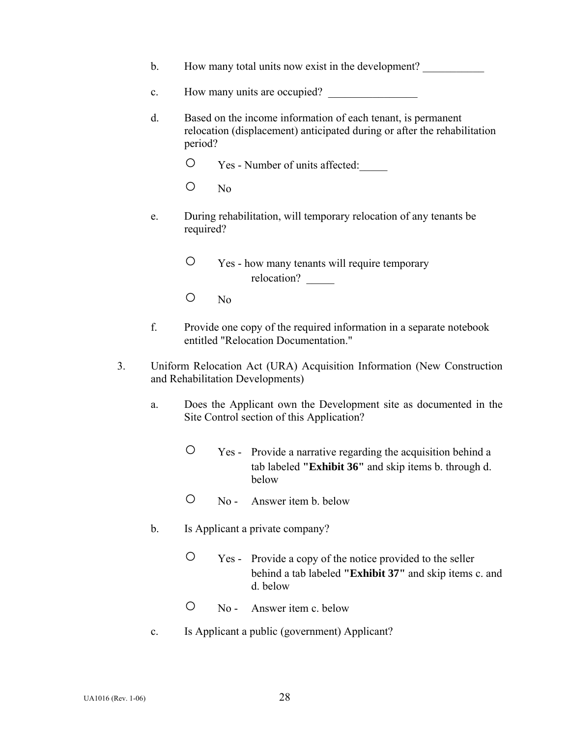- b. How many total units now exist in the development?
- c. How many units are occupied?
- d. Based on the income information of each tenant, is permanent relocation (displacement) anticipated during or after the rehabilitation period?
	- Yes Number of units affected:\_\_\_\_\_
	- No
- e. During rehabilitation, will temporary relocation of any tenants be required?
	- Yes how many tenants will require temporary relocation?
	- No
- f. Provide one copy of the required information in a separate notebook entitled "Relocation Documentation."
- 3. Uniform Relocation Act (URA) Acquisition Information (New Construction and Rehabilitation Developments)
	- a. Does the Applicant own the Development site as documented in the Site Control section of this Application?
		- Yes Provide a narrative regarding the acquisition behind a tab labeled **"Exhibit 36"** and skip items b. through d. below
		- No Answer item b. below
	- b. Is Applicant a private company?
		- Yes Provide a copy of the notice provided to the seller behind a tab labeled **"Exhibit 37"** and skip items c. and d. below
		- No Answer item c. below
	- c. Is Applicant a public (government) Applicant?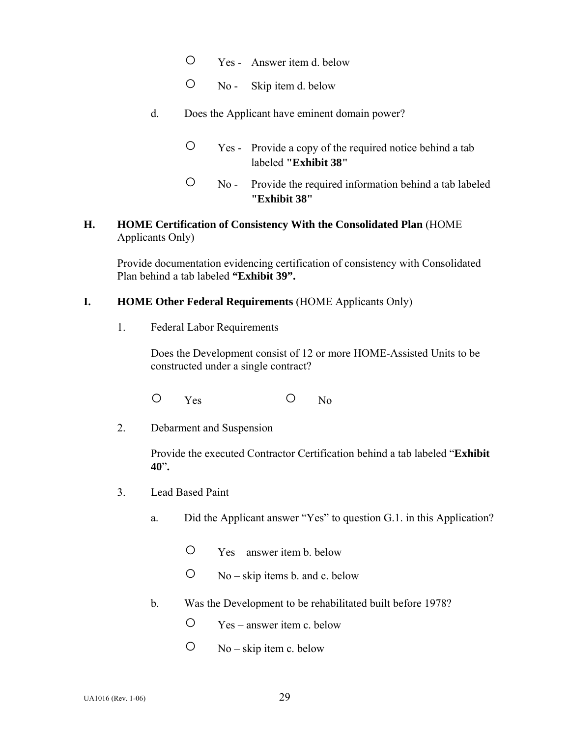- Yes Answer item d. below
- No Skip item d. below
- d. Does the Applicant have eminent domain power?
	- Yes Provide a copy of the required notice behind a tab labeled **"Exhibit 38"**
	- No Provide the required information behind a tab labeled **"Exhibit 38"**

## **H. HOME Certification of Consistency With the Consolidated Plan** (HOME Applicants Only)

Provide documentation evidencing certification of consistency with Consolidated Plan behind a tab labeled **"Exhibit 39".** 

## **I. HOME Other Federal Requirements** (HOME Applicants Only)

1. Federal Labor Requirements

Does the Development consist of 12 or more HOME-Assisted Units to be constructed under a single contract?

- O Yes O No
- 2. Debarment and Suspension

Provide the executed Contractor Certification behind a tab labeled "**Exhibit 40**"**.** 

- 3. Lead Based Paint
	- a. Did the Applicant answer "Yes" to question G.1. in this Application?
		- Yes answer item b. below
		- $\circ$  No skip items b. and c. below
	- b. Was the Development to be rehabilitated built before 1978?
		- Yes answer item c. below
		- $O$  No skip item c. below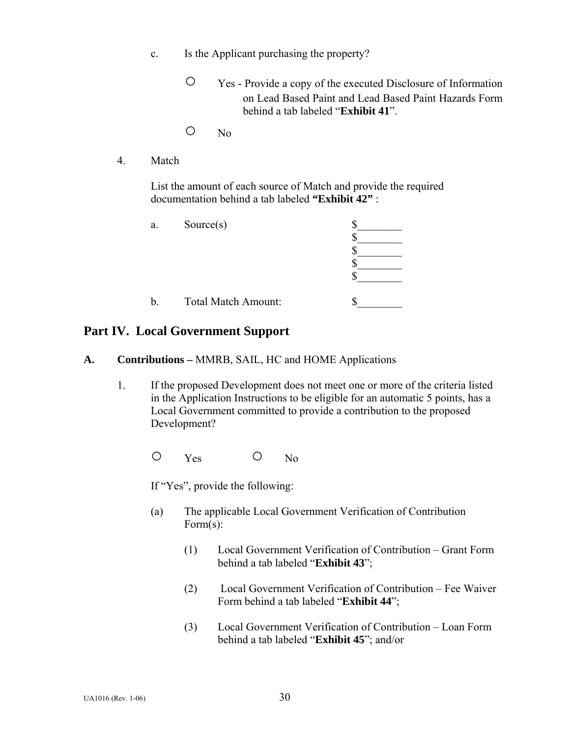- c. Is the Applicant purchasing the property?
	- Yes Provide a copy of the executed Disclosure of Information on Lead Based Paint and Lead Based Paint Hazards Form behind a tab labeled "**Exhibit 41**".
	- No
- 4. Match

 List the amount of each source of Match and provide the required documentation behind a tab labeled **"Exhibit 42"** :

| a. | Source(s)           |  |
|----|---------------------|--|
|    |                     |  |
|    |                     |  |
|    |                     |  |
|    |                     |  |
|    |                     |  |
| b. | Total Match Amount: |  |

## **Part IV. Local Government Support**

- **A. Contributions** MMRB, SAIL, HC and HOME Applications
	- 1. If the proposed Development does not meet one or more of the criteria listed in the Application Instructions to be eligible for an automatic 5 points, has a Local Government committed to provide a contribution to the proposed Development?

O Yes O No

If "Yes", provide the following:

- (a) The applicable Local Government Verification of Contribution Form(s):
	- (1) Local Government Verification of Contribution Grant Form behind a tab labeled "**Exhibit 43**";
	- (2) Local Government Verification of Contribution Fee Waiver Form behind a tab labeled "**Exhibit 44**";
	- (3) Local Government Verification of Contribution Loan Form behind a tab labeled "**Exhibit 45**"; and/or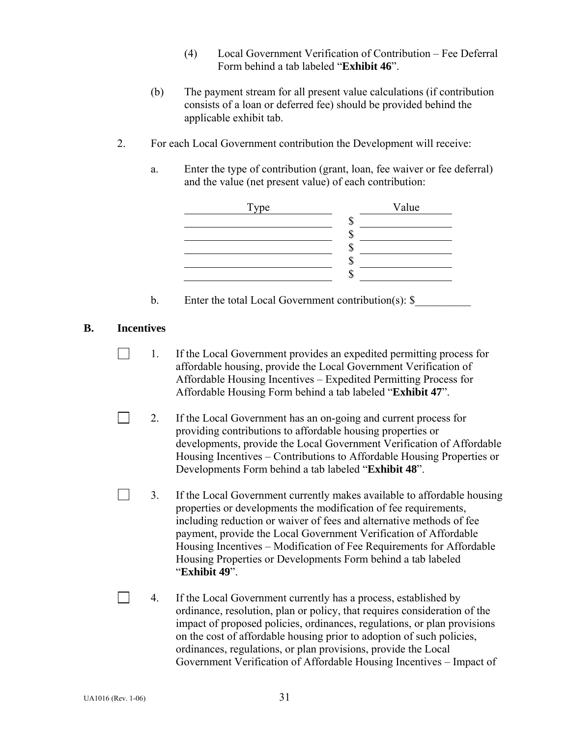- (4) Local Government Verification of Contribution Fee Deferral Form behind a tab labeled "**Exhibit 46**".
- (b) The payment stream for all present value calculations (if contribution consists of a loan or deferred fee) should be provided behind the applicable exhibit tab.
- 2. For each Local Government contribution the Development will receive:
	- a. Enter the type of contribution (grant, loan, fee waiver or fee deferral) and the value (net present value) of each contribution:



b. Enter the total Local Government contribution(s):  $\$ 

**B. Incentives** 

 $\blacksquare$ 

 $\Box$ 

- $\Box$ 1. If the Local Government provides an expedited permitting process for affordable housing, provide the Local Government Verification of Affordable Housing Incentives – Expedited Permitting Process for Affordable Housing Form behind a tab labeled "**Exhibit 47**".
- 2. If the Local Government has an on-going and current process for providing contributions to affordable housing properties or developments, provide the Local Government Verification of Affordable Housing Incentives – Contributions to Affordable Housing Properties or Developments Form behind a tab labeled "**Exhibit 48**".
	- 3. If the Local Government currently makes available to affordable housing properties or developments the modification of fee requirements, including reduction or waiver of fees and alternative methods of fee payment, provide the Local Government Verification of Affordable Housing Incentives – Modification of Fee Requirements for Affordable Housing Properties or Developments Form behind a tab labeled "**Exhibit 49**".
	- 4. If the Local Government currently has a process, established by ordinance, resolution, plan or policy, that requires consideration of the impact of proposed policies, ordinances, regulations, or plan provisions on the cost of affordable housing prior to adoption of such policies, ordinances, regulations, or plan provisions, provide the Local Government Verification of Affordable Housing Incentives – Impact of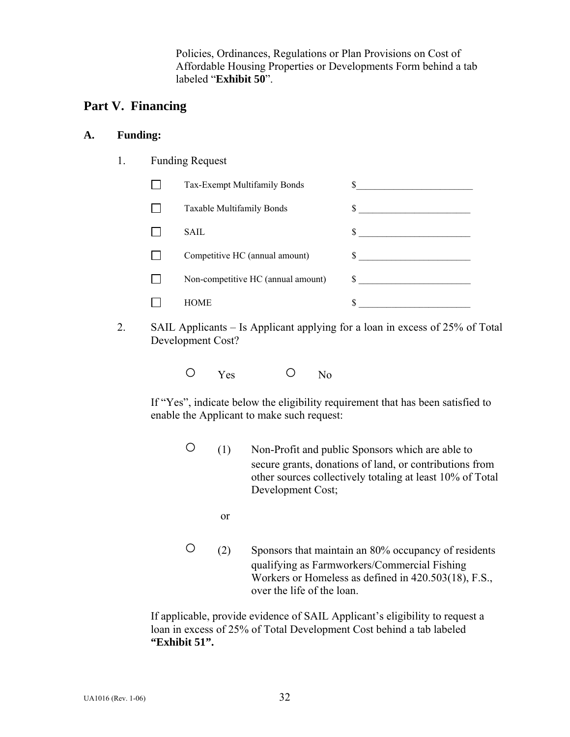Policies, Ordinances, Regulations or Plan Provisions on Cost of Affordable Housing Properties or Developments Form behind a tab labeled "**Exhibit 50**".

# **Part V. Financing**

### **A. Funding:**

1. Funding Request

| Tax-Exempt Multifamily Bonds       |    |
|------------------------------------|----|
| Taxable Multifamily Bonds          | \$ |
| SAIL.                              |    |
| Competitive HC (annual amount)     | S. |
| Non-competitive HC (annual amount) |    |
| <b>HOME</b>                        |    |

- 2. SAIL Applicants Is Applicant applying for a loan in excess of 25% of Total Development Cost?
- O Yes O No

 If "Yes", indicate below the eligibility requirement that has been satisfied to enable the Applicant to make such request:

 ○ (1) Non-Profit and public Sponsors which are able to secure grants, donations of land, or contributions from other sources collectively totaling at least 10% of Total Development Cost;

or

 ○ (2) Sponsors that maintain an 80% occupancy of residents qualifying as Farmworkers/Commercial Fishing Workers or Homeless as defined in 420.503(18), F.S., over the life of the loan.

If applicable, provide evidence of SAIL Applicant's eligibility to request a loan in excess of 25% of Total Development Cost behind a tab labeled **"Exhibit 51".**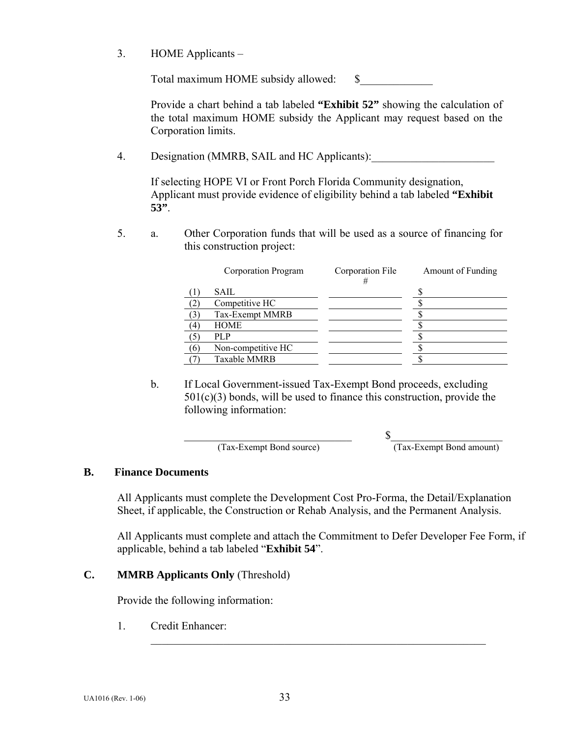3. HOME Applicants –

Total maximum HOME subsidy allowed: \$\_\_\_\_\_\_\_\_\_\_\_\_\_

 Provide a chart behind a tab labeled **"Exhibit 52"** showing the calculation of the total maximum HOME subsidy the Applicant may request based on the Corporation limits.

4. Designation (MMRB, SAIL and HC Applicants):

 If selecting HOPE VI or Front Porch Florida Community designation, Applicant must provide evidence of eligibility behind a tab labeled **"Exhibit 53"**.

5. a. Other Corporation funds that will be used as a source of financing for this construction project:

|     | Corporation Program | Corporation File<br># | Amount of Funding |
|-----|---------------------|-----------------------|-------------------|
|     | SAIL.               |                       |                   |
|     | Competitive HC      |                       |                   |
|     | Tax-Exempt MMRB     |                       |                   |
| 4   | <b>HOME</b>         |                       |                   |
|     | PL P                |                       |                   |
| (6) | Non-competitive HC  |                       |                   |
|     | Taxable MMRB        |                       |                   |

 b. If Local Government-issued Tax-Exempt Bond proceeds, excluding  $501(c)(3)$  bonds, will be used to finance this construction, provide the following information:

(Tax-Exempt Bond source) (Tax-Exempt Bond amount)

 $\mathbb S$ 

#### **B. Finance Documents**

All Applicants must complete the Development Cost Pro-Forma, the Detail/Explanation Sheet, if applicable, the Construction or Rehab Analysis, and the Permanent Analysis.

All Applicants must complete and attach the Commitment to Defer Developer Fee Form, if applicable, behind a tab labeled "**Exhibit 54**".

## **C. MMRB Applicants Only** (Threshold)

Provide the following information:

1. Credit Enhancer:

 $\mathcal{L}_\text{max} = \frac{1}{2} \sum_{i=1}^{n} \frac{1}{2} \sum_{i=1}^{n} \frac{1}{2} \sum_{i=1}^{n} \frac{1}{2} \sum_{i=1}^{n} \frac{1}{2} \sum_{i=1}^{n} \frac{1}{2} \sum_{i=1}^{n} \frac{1}{2} \sum_{i=1}^{n} \frac{1}{2} \sum_{i=1}^{n} \frac{1}{2} \sum_{i=1}^{n} \frac{1}{2} \sum_{i=1}^{n} \frac{1}{2} \sum_{i=1}^{n} \frac{1}{2} \sum_{i=1}^{n} \frac{1$